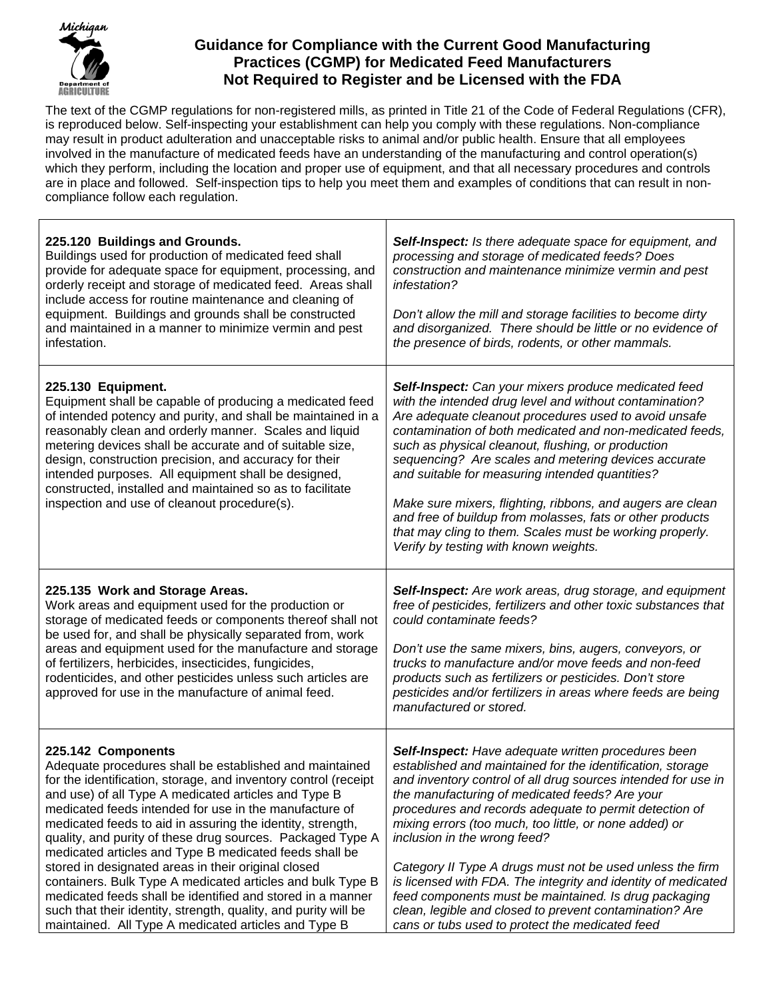

## **Guidance for Compliance with the Current Good Manufacturing Practices (CGMP) for Medicated Feed Manufacturers Not Required to Register and be Licensed with the FDA**

The text of the CGMP regulations for non-registered mills, as printed in Title 21 of the Code of Federal Regulations (CFR), is reproduced below. Self-inspecting your establishment can help you comply with these regulations. Non-compliance may result in product adulteration and unacceptable risks to animal and/or public health. Ensure that all employees involved in the manufacture of medicated feeds have an understanding of the manufacturing and control operation(s) which they perform, including the location and proper use of equipment, and that all necessary procedures and controls are in place and followed. Self-inspection tips to help you meet them and examples of conditions that can result in noncompliance follow each regulation.

| 225.120 Buildings and Grounds.<br>Buildings used for production of medicated feed shall<br>provide for adequate space for equipment, processing, and<br>orderly receipt and storage of medicated feed. Areas shall<br>include access for routine maintenance and cleaning of<br>equipment. Buildings and grounds shall be constructed<br>and maintained in a manner to minimize vermin and pest<br>infestation.                                                                                                                                                                                                                                                                                                                                                        | Self-Inspect: Is there adequate space for equipment, and<br>processing and storage of medicated feeds? Does<br>construction and maintenance minimize vermin and pest<br>infestation?<br>Don't allow the mill and storage facilities to become dirty<br>and disorganized. There should be little or no evidence of<br>the presence of birds, rodents, or other mammals.                                                                                                                                                                                                                                                                                                                        |
|------------------------------------------------------------------------------------------------------------------------------------------------------------------------------------------------------------------------------------------------------------------------------------------------------------------------------------------------------------------------------------------------------------------------------------------------------------------------------------------------------------------------------------------------------------------------------------------------------------------------------------------------------------------------------------------------------------------------------------------------------------------------|-----------------------------------------------------------------------------------------------------------------------------------------------------------------------------------------------------------------------------------------------------------------------------------------------------------------------------------------------------------------------------------------------------------------------------------------------------------------------------------------------------------------------------------------------------------------------------------------------------------------------------------------------------------------------------------------------|
| 225.130 Equipment.<br>Equipment shall be capable of producing a medicated feed<br>of intended potency and purity, and shall be maintained in a<br>reasonably clean and orderly manner. Scales and liquid<br>metering devices shall be accurate and of suitable size,<br>design, construction precision, and accuracy for their<br>intended purposes. All equipment shall be designed,<br>constructed, installed and maintained so as to facilitate<br>inspection and use of cleanout procedure(s).                                                                                                                                                                                                                                                                     | Self-Inspect: Can your mixers produce medicated feed<br>with the intended drug level and without contamination?<br>Are adequate cleanout procedures used to avoid unsafe<br>contamination of both medicated and non-medicated feeds,<br>such as physical cleanout, flushing, or production<br>sequencing? Are scales and metering devices accurate<br>and suitable for measuring intended quantities?<br>Make sure mixers, flighting, ribbons, and augers are clean<br>and free of buildup from molasses, fats or other products<br>that may cling to them. Scales must be working properly.<br>Verify by testing with known weights.                                                         |
| 225.135 Work and Storage Areas.<br>Work areas and equipment used for the production or<br>storage of medicated feeds or components thereof shall not<br>be used for, and shall be physically separated from, work<br>areas and equipment used for the manufacture and storage<br>of fertilizers, herbicides, insecticides, fungicides,<br>rodenticides, and other pesticides unless such articles are<br>approved for use in the manufacture of animal feed.                                                                                                                                                                                                                                                                                                           | Self-Inspect: Are work areas, drug storage, and equipment<br>free of pesticides, fertilizers and other toxic substances that<br>could contaminate feeds?<br>Don't use the same mixers, bins, augers, conveyors, or<br>trucks to manufacture and/or move feeds and non-feed<br>products such as fertilizers or pesticides. Don't store<br>pesticides and/or fertilizers in areas where feeds are being<br>manufactured or stored.                                                                                                                                                                                                                                                              |
| 225.142 Components<br>Adequate procedures shall be established and maintained<br>for the identification, storage, and inventory control (receipt<br>and use) of all Type A medicated articles and Type B<br>medicated feeds intended for use in the manufacture of<br>medicated feeds to aid in assuring the identity, strength,<br>quality, and purity of these drug sources. Packaged Type A<br>medicated articles and Type B medicated feeds shall be<br>stored in designated areas in their original closed<br>containers. Bulk Type A medicated articles and bulk Type B<br>medicated feeds shall be identified and stored in a manner<br>such that their identity, strength, quality, and purity will be<br>maintained. All Type A medicated articles and Type B | Self-Inspect: Have adequate written procedures been<br>established and maintained for the identification, storage<br>and inventory control of all drug sources intended for use in<br>the manufacturing of medicated feeds? Are your<br>procedures and records adequate to permit detection of<br>mixing errors (too much, too little, or none added) or<br>inclusion in the wrong feed?<br>Category II Type A drugs must not be used unless the firm<br>is licensed with FDA. The integrity and identity of medicated<br>feed components must be maintained. Is drug packaging<br>clean, legible and closed to prevent contamination? Are<br>cans or tubs used to protect the medicated feed |